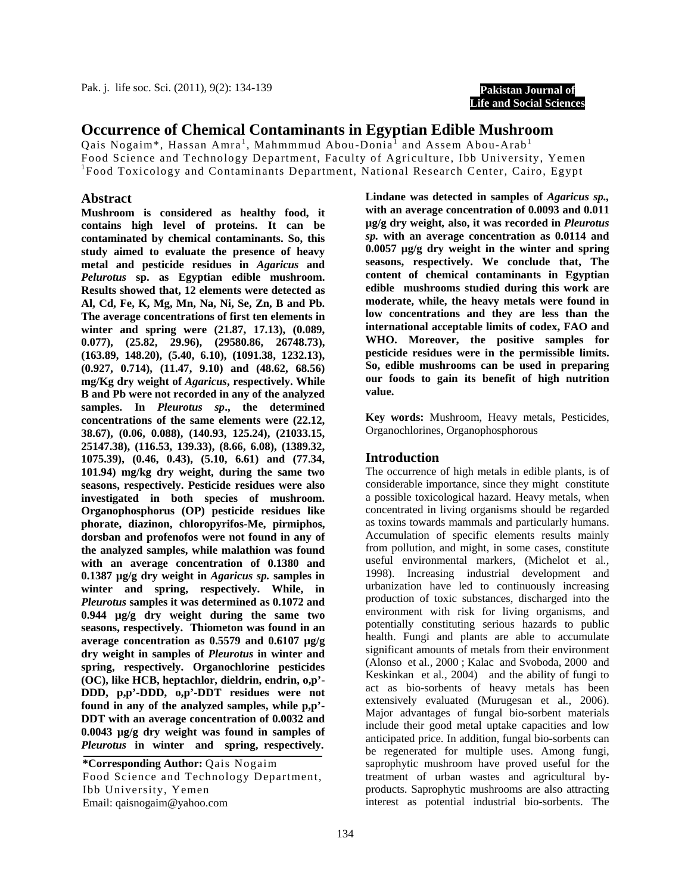**Pakistan Journal of Life and Social Sciences**

## **Occurrence of Chemical Contaminants in Egyptian Edible Mushroom**

Qais Nogaim\*, Hassan Amra<sup>1</sup>, Mahmmmud Abou-Donia<sup>1</sup> and Assem Abou-Arab<sup>1</sup> Food Science and Technology Department, Faculty of Agriculture, Ibb University, Yemen 1 Food Toxicology and Contaminants Department, National Research Center, Cairo, Egypt

#### **Abstract**

**Mushroom is considered as healthy food, it contains high level of proteins. It can be contaminated by chemical contaminants. So, this study aimed to evaluate the presence of heavy metal and pesticide residues in** *Agaricus* **and**  *Pelurotus* **sp. as Egyptian edible mushroom. Results showed that, 12 elements were detected as Al, Cd, Fe, K, Mg, Mn, Na, Ni, Se, Zn, B and Pb. The average concentrations of first ten elements in winter and spring were (21.87, 17.13), (0.089, 0.077), (25.82, 29.96), (29580.86, 26748.73), (163.89, 148.20), (5.40, 6.10), (1091.38, 1232.13), (0.927, 0.714), (11.47, 9.10) and (48.62, 68.56) mg/Kg dry weight of** *Agaricus***, respectively. While B and Pb were not recorded in any of the analyzed samples. In** *Pleurotus sp***., the determined concentrations of the same elements were (22.12, 38.67), (0.06, 0.088), (140.93, 125.24), (21033.15, 25147.38), (116.53, 139.33), (8.66, 6.08), (1389.32, 1075.39), (0.46, 0.43), (5.10, 6.61) and (77.34, 101.94) mg/kg dry weight, during the same two seasons, respectively. Pesticide residues were also investigated in both species of mushroom. Organophosphorus (OP) pesticide residues like phorate, diazinon, chloropyrifos-Me, pirmiphos, dorsban and profenofos were not found in any of the analyzed samples, while malathion was found with an average concentration of 0.1380 and 0.1387 µg/g dry weight in** *Agaricus sp.* **samples in winter and spring, respectively. While, in**  *Pleurotus* **samples it was determined as 0.1072 and 0.944 µg/g dry weight during the same two seasons, respectively. Thiometon was found in an average concentration as 0.5579 and 0.6107 µg/g dry weight in samples of** *Pleurotus* **in winter and spring, respectively. Organochlorine pesticides (OC), like HCB, heptachlor, dieldrin, endrin, o,p'- DDD, p,p'-DDD, o,p'-DDT residues were not found in any of the analyzed samples, while p,p'- DDT with an average concentration of 0.0032 and 0.0043 µg/g dry weight was found in samples of**  *Pleurotus* **in winter and spring, respectively.** 

**\*Corresponding Author:** Qais Nogaim Food Science and Technology Department, Ibb University, Yemen Email: qaisnogaim@yahoo.com

**Lindane was detected in samples of** *Agaricus sp.,* **with an average concentration of 0.0093 and 0.011 µg/g dry weight***,* **also, it was recorded in** *Pleurotus sp.* **with an average concentration as 0.0114 and 0.0057 µg/g dry weight in the winter and spring seasons, respectively. We conclude that, The content of chemical contaminants in Egyptian edible mushrooms studied during this work are moderate, while, the heavy metals were found in low concentrations and they are less than the international acceptable limits of codex, FAO and WHO. Moreover, the positive samples for pesticide residues were in the permissible limits. So, edible mushrooms can be used in preparing our foods to gain its benefit of high nutrition value.** 

**Key words:** Mushroom, Heavy metals, Pesticides, Organochlorines, Organophosphorous

#### **Introduction**

The occurrence of high metals in edible plants, is of considerable importance, since they might constitute a possible toxicological hazard. Heavy metals, when concentrated in living organisms should be regarded as toxins towards mammals and particularly humans. Accumulation of specific elements results mainly from pollution, and might, in some cases, constitute useful environmental markers, (Michelot et al*.,* 1998). Increasing industrial development and urbanization have led to continuously increasing production of toxic substances, discharged into the environment with risk for living organisms, and potentially constituting serious hazards to public health. Fungi and plants are able to accumulate significant amounts of metals from their environment (Alonso et al*.,* 2000 ; Kalac and Svoboda, 2000 and Keskinkan et al*.,* 2004) and the ability of fungi to act as bio-sorbents of heavy metals has been extensively evaluated (Murugesan et al*.,* 2006). Major advantages of fungal bio-sorbent materials include their good metal uptake capacities and low anticipated price. In addition, fungal bio-sorbents can be regenerated for multiple uses. Among fungi, saprophytic mushroom have proved useful for the treatment of urban wastes and agricultural byproducts. Saprophytic mushrooms are also attracting interest as potential industrial bio-sorbents. The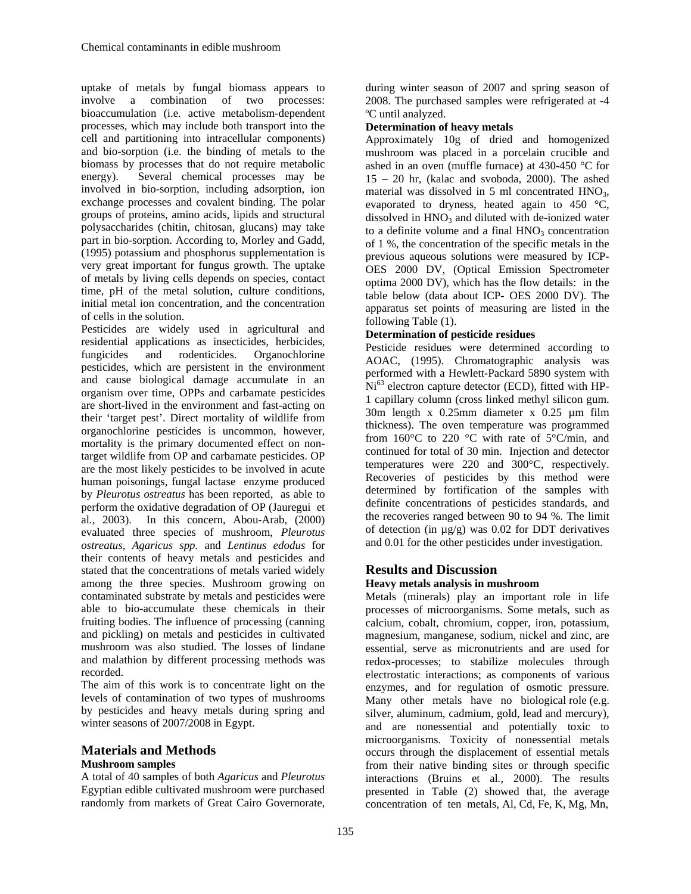uptake of metals by fungal biomass appears to involve a combination of two processes: bioaccumulation (i.e. active metabolism-dependent processes, which may include both transport into the cell and partitioning into intracellular components) and bio-sorption (i.e. the binding of metals to the biomass by processes that do not require metabolic energy). Several chemical processes may be involved in bio-sorption, including adsorption, ion exchange processes and covalent binding. The polar groups of proteins, amino acids, lipids and structural polysaccharides (chitin, chitosan, glucans) may take part in bio-sorption. According to, Morley and Gadd, (1995) potassium and phosphorus supplementation is very great important for fungus growth. The uptake of metals by living cells depends on species, contact time, pH of the metal solution, culture conditions, initial metal ion concentration, and the concentration of cells in the solution.

Pesticides are widely used in agricultural and residential applications as insecticides, herbicides, fungicides and rodenticides. Organochlorine pesticides, which are persistent in the environment and cause biological damage accumulate in an organism over time, OPPs and carbamate pesticides are short-lived in the environment and fast-acting on their 'target pest'. Direct mortality of wildlife from organochlorine pesticides is uncommon, however, mortality is the primary documented effect on nontarget wildlife from OP and carbamate pesticides. OP are the most likely pesticides to be involved in acute human poisonings, fungal lactase enzyme produced by *Pleurotus ostreatus* has been reported, as able to perform the oxidative degradation of OP (Jauregui et al*.,* 2003). In this concern, Abou-Arab, (2000) evaluated three species of mushroom, *Pleurotus ostreatus, Agaricus spp.* and *Lentinus edodus* for their contents of heavy metals and pesticides and stated that the concentrations of metals varied widely among the three species. Mushroom growing on contaminated substrate by metals and pesticides were able to bio-accumulate these chemicals in their fruiting bodies. The influence of processing (canning and pickling) on metals and pesticides in cultivated mushroom was also studied. The losses of lindane and malathion by different processing methods was recorded.

The aim of this work is to concentrate light on the levels of contamination of two types of mushrooms by pesticides and heavy metals during spring and winter seasons of 2007/2008 in Egypt.

# **Materials and Methods**

#### **Mushroom samples**

A total of 40 samples of both *Agaricus* and *Pleurotus* Egyptian edible cultivated mushroom were purchased randomly from markets of Great Cairo Governorate, during winter season of 2007 and spring season of 2008. The purchased samples were refrigerated at -4 ºC until analyzed.

#### **Determination of heavy metals**

Approximately 10g of dried and homogenized mushroom was placed in a porcelain crucible and ashed in an oven (muffle furnace) at 430**-**450 °C for 15 – 20 hr, (kalac and svoboda, 2000). The ashed material was dissolved in 5 ml concentrated HNO<sub>3</sub>, evaporated to dryness, heated again to 450 °C, dissolved in  $HNO<sub>3</sub>$  and diluted with de-ionized water to a definite volume and a final  $HNO<sub>3</sub>$  concentration of 1 %, the concentration of the specific metals in the previous aqueous solutions were measured by ICP**-**OES 2000 DV, (Optical Emission Spectrometer optima 2000 DV), which has the flow details: in the table below (data about ICP- OES 2000 DV). The apparatus set points of measuring are listed in the following Table (1).

#### **Determination of pesticide residues**

Pesticide residues were determined according to AOAC, (1995). Chromatographic analysis was performed with a Hewlett**-**Packard 5890 system with Ni63 electron capture detector (ECD), fitted with HP-1 capillary column (cross linked methyl silicon gum. 30m length x 0.25mm diameter x 0.25 µm film thickness). The oven temperature was programmed from 160 $\degree$ C to 220  $\degree$ C with rate of 5 $\degree$ C/min, and continued for total of 30 min. Injection and detector temperatures were 220 and 300°C, respectively. Recoveries of pesticides by this method were determined by fortification of the samples with definite concentrations of pesticides standards, and the recoveries ranged between 90 to 94 %. The limit of detection (in  $\mu$ g/g) was 0.02 for DDT derivatives and 0.01 for the other pesticides under investigation.

## **Results and Discussion**

#### **Heavy metals analysis in mushroom**

Metals (minerals) play an important role in life processes of microorganisms. Some metals, such as calcium, cobalt, chromium, copper, iron, potassium, magnesium, manganese, sodium, nickel and zinc, are essential, serve as micronutrients and are used for redox-processes; to stabilize molecules through electrostatic interactions; as components of various enzymes, and for regulation of osmotic pressure. Many other metals have no biological role (e.g. silver, aluminum, cadmium, gold, lead and mercury), and are nonessential and potentially toxic to microorganisms. Toxicity of nonessential metals occurs through the displacement of essential metals from their native binding sites or through specific interactions (Bruins et al*.,* 2000). The results presented in Table (2) showed that, the average concentration of ten metals, Al, Cd, Fe, K, Mg, Mn,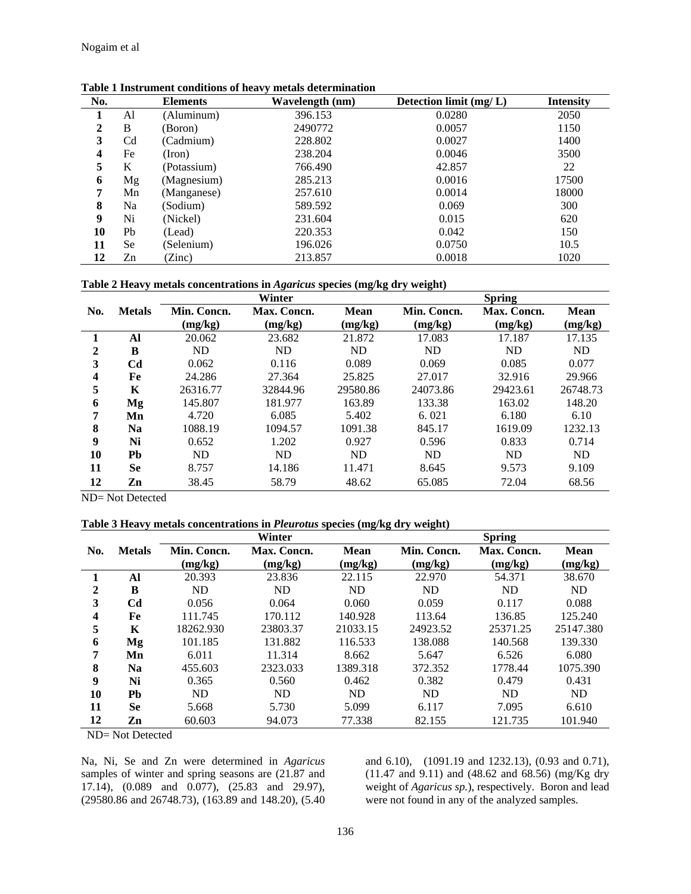| No.                     |                | <b>Elements</b> | Wavelength (nm) | Detection limit $(mg/L)$ | <b>Intensity</b> |
|-------------------------|----------------|-----------------|-----------------|--------------------------|------------------|
|                         | Al             | (Aluminum)      | 396.153         | 0.0280                   | 2050             |
| 2                       | B              | (Boron)         | 2490772         | 0.0057                   | 1150             |
| 3                       | C <sub>d</sub> | (Cadmium)       | 228.802         | 0.0027                   | 1400             |
| $\overline{\mathbf{4}}$ | Fe             | (Iron)          | 238.204         | 0.0046                   | 3500             |
| 5                       | K              | (Potassium)     | 766.490         | 42.857                   | 22               |
| 6                       | Mg             | (Magnesium)     | 285.213         | 0.0016                   | 17500            |
| 7                       | Mn             | (Manganese)     | 257.610         | 0.0014                   | 18000            |
| 8                       | Na             | (Sodium)        | 589.592         | 0.069                    | 300              |
| 9                       | Ni             | (Nickel)        | 231.604         | 0.015                    | 620              |
| 10                      | Pb             | (Lead)          | 220.353         | 0.042                    | 150              |
| 11                      | <b>Se</b>      | (Selenium)      | 196.026         | 0.0750                   | 10.5             |
| 12                      | Zn             | (Zinc)          | 213.857         | 0.0018                   | 1020             |

**Table 1 Instrument conditions of heavy metals determination** 

**Table 2 Heavy metals concentrations in** *Agaricus* **species (mg/kg dry weight)** 

|     |               |             | Winter      |             |             | <b>Spring</b> |             |  |  |  |  |
|-----|---------------|-------------|-------------|-------------|-------------|---------------|-------------|--|--|--|--|
| No. | <b>Metals</b> | Min. Concn. | Max. Concn. | <b>Mean</b> | Min. Concn. | Max. Concn.   | <b>Mean</b> |  |  |  |  |
|     |               | (mg/kg)     | (mg/kg)     | (mg/kg)     | (mg/kg)     | (mg/kg)       | (mg/kg)     |  |  |  |  |
|     | Al            | 20.062      | 23.682      | 21.872      | 17.083      | 17.187        | 17.135      |  |  |  |  |
| 2   | B             | ND          | ND          | <b>ND</b>   | ND          | ND            | ND          |  |  |  |  |
| 3   | Cd            | 0.062       | 0.116       | 0.089       | 0.069       | 0.085         | 0.077       |  |  |  |  |
| 4   | Fe            | 24.286      | 27.364      | 25.825      | 27.017      | 32.916        | 29.966      |  |  |  |  |
| 5   | K             | 26316.77    | 32844.96    | 29580.86    | 24073.86    | 29423.61      | 26748.73    |  |  |  |  |
| 6   | Mg            | 145.807     | 181.977     | 163.89      | 133.38      | 163.02        | 148.20      |  |  |  |  |
| 7   | Mn            | 4.720       | 6.085       | 5.402       | 6.021       | 6.180         | 6.10        |  |  |  |  |
| 8   | Na            | 1088.19     | 1094.57     | 1091.38     | 845.17      | 1619.09       | 1232.13     |  |  |  |  |
| 9   | Ni            | 0.652       | 1.202       | 0.927       | 0.596       | 0.833         | 0.714       |  |  |  |  |
| 10  | Pb            | <b>ND</b>   | <b>ND</b>   | <b>ND</b>   | ND          | ND            | ND.         |  |  |  |  |
| 11  | Se            | 8.757       | 14.186      | 11.471      | 8.645       | 9.573         | 9.109       |  |  |  |  |
| 12  | Zn            | 38.45       | 58.79       | 48.62       | 65.085      | 72.04         | 68.56       |  |  |  |  |

ND= Not Detected

**Table 3 Heavy metals concentrations in** *Pleurotus* **species (mg/kg dry weight)** 

|     |               |             | Winter      |             |             | <b>Spring</b> |             |
|-----|---------------|-------------|-------------|-------------|-------------|---------------|-------------|
| No. | <b>Metals</b> | Min. Concn. | Max. Concn. | <b>Mean</b> | Min. Concn. | Max. Concn.   | <b>Mean</b> |
|     |               | (mg/kg)     | (mg/kg)     | (mg/kg)     | (mg/kg)     | (mg/kg)       | (mg/kg)     |
|     | Al            | 20.393      | 23.836      | 22.115      | 22.970      | 54.371        | 38.670      |
| 2   | B             | ND          | ND          | <b>ND</b>   | ND          | <b>ND</b>     | <b>ND</b>   |
| 3   | Cd            | 0.056       | 0.064       | 0.060       | 0.059       | 0.117         | 0.088       |
| 4   | Fe            | 111.745     | 170.112     | 140.928     | 113.64      | 136.85        | 125.240     |
| 5   | K             | 18262.930   | 23803.37    | 21033.15    | 24923.52    | 25371.25      | 25147.380   |
| 6   | Mg            | 101.185     | 131.882     | 116.533     | 138.088     | 140.568       | 139.330     |
| 7   | Mn            | 6.011       | 11.314      | 8.662       | 5.647       | 6.526         | 6.080       |
| 8   | <b>Na</b>     | 455.603     | 2323.033    | 1389.318    | 372.352     | 1778.44       | 1075.390    |
| 9   | Ni            | 0.365       | 0.560       | 0.462       | 0.382       | 0.479         | 0.431       |
| 10  | Pb            | ND          | ND          | ND          | ND          | <b>ND</b>     | <b>ND</b>   |
| 11  | <b>Se</b>     | 5.668       | 5.730       | 5.099       | 6.117       | 7.095         | 6.610       |
| 12  | Zn            | 60.603      | 94.073      | 77.338      | 82.155      | 121.735       | 101.940     |

ND= Not Detected

Na, Ni, Se and Zn were determined in *Agaricus* samples of winter and spring seasons are (21.87 and 17.14), (0.089 and 0.077), (25.83 and 29.97), (29580.86 and 26748.73), (163.89 and 148.20), (5.40

and 6.10), (1091.19 and 1232.13), (0.93 and 0.71), (11.47 and 9.11) and (48.62 and 68.56) (mg/Kg dry weight of *Agaricus sp.*), respectively. Boron and lead were not found in any of the analyzed samples.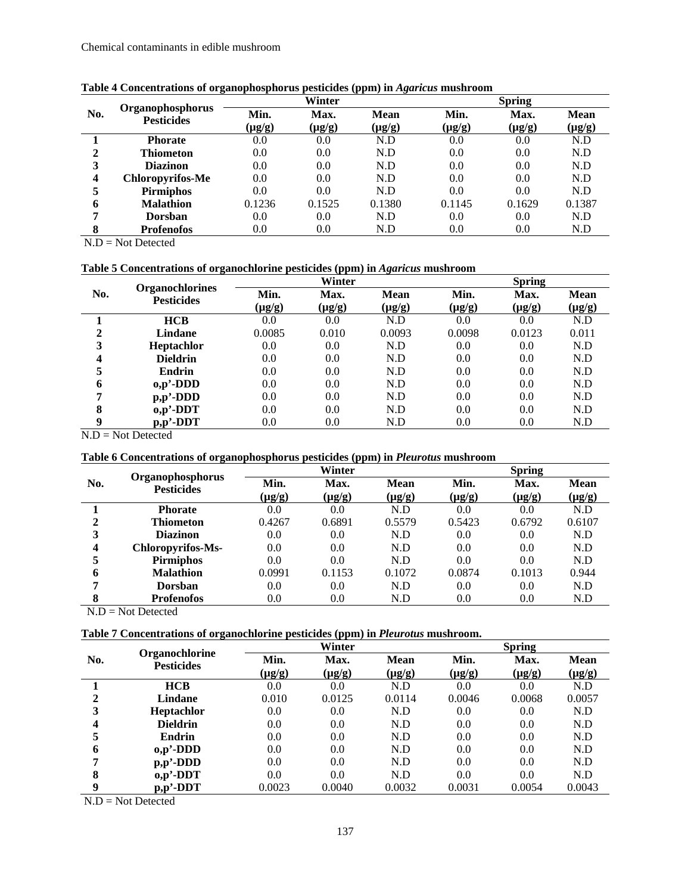| No. |                                       | Winter              |                     |                            | <b>Spring</b>       |                     |                            |  |
|-----|---------------------------------------|---------------------|---------------------|----------------------------|---------------------|---------------------|----------------------------|--|
|     | Organophosphorus<br><b>Pesticides</b> | Min.<br>$(\mu g/g)$ | Max.<br>$(\mu g/g)$ | <b>Mean</b><br>$(\mu g/g)$ | Min.<br>$(\mu g/g)$ | Max.<br>$(\mu g/g)$ | <b>Mean</b><br>$(\mu g/g)$ |  |
|     | <b>Phorate</b>                        | 0.0                 | 0.0                 | N.D                        | 0.0                 | 0.0                 | N.D                        |  |
| 2   | Thiometon                             | 0.0                 | 0.0                 | N.D                        | 0.0                 | 0.0                 | N.D                        |  |
| 3   | <b>Diazinon</b>                       | 0.0                 | 0.0                 | N.D                        | 0.0                 | 0.0                 | N.D                        |  |
|     | <b>Chloropyrifos-Me</b>               | 0.0                 | 0.0                 | N.D                        | 0.0                 | 0.0                 | N.D                        |  |
|     | <b>Pirmiphos</b>                      | 0.0                 | 0.0                 | N.D                        | 0.0                 | 0.0                 | N.D                        |  |
| 6   | <b>Malathion</b>                      | 0.1236              | 0.1525              | 0.1380                     | 0.1145              | 0.1629              | 0.1387                     |  |
| −   | <b>Dorsban</b>                        | 0.0                 | 0.0                 | N.D                        | 0.0                 | 0.0                 | N.D                        |  |
| 8   | Profenofos                            | 0.0                 | 0.0                 | N.D                        | 0.0                 | 0.0                 | N.D                        |  |

#### **Table 4 Concentrations of organophosphorus pesticides (ppm) in** *Agaricus* **mushroom**

N.D = Not Detected

**Table 5 Concentrations of organochlorine pesticides (ppm) in** *Agaricus* **mushroom** 

| No.              | <b>Organochlorines</b> | Winter      |             |             | <b>Spring</b> |             |             |  |
|------------------|------------------------|-------------|-------------|-------------|---------------|-------------|-------------|--|
|                  | <b>Pesticides</b>      | Min.        | Max.        | <b>Mean</b> | Min.          | Max.        | <b>Mean</b> |  |
|                  |                        | $(\mu g/g)$ | $(\mu g/g)$ | $(\mu g/g)$ | $(\mu g/g)$   | $(\mu g/g)$ | $(\mu g/g)$ |  |
|                  | HCB                    | 0.0         | 0.0         | N.D         | 0.0           | 0.0         | N.D         |  |
| 2                | Lindane                | 0.0085      | 0.010       | 0.0093      | 0.0098        | 0.0123      | 0.011       |  |
| 3                | <b>Heptachlor</b>      | 0.0         | 0.0         | N.D         | 0.0           | 0.0         | N.D         |  |
| $\boldsymbol{4}$ | <b>Dieldrin</b>        | 0.0         | 0.0         | N.D         | 0.0           | 0.0         | N.D         |  |
| 5                | Endrin                 | 0.0         | 0.0         | N.D         | 0.0           | 0.0         | N.D         |  |
| 6                | $o, p'$ -DDD           | 0.0         | 0.0         | N.D         | 0.0           | 0.0         | N.D         |  |
| 7                | $p, p'$ -DDD           | 0.0         | 0.0         | N.D         | 0.0           | 0.0         | N.D         |  |
| 8                | $o,p'$ -DDT            | 0.0         | 0.0         | N.D         | 0.0           | 0.0         | N.D         |  |
| 9                | $p, p'$ -DDT           | 0.0         | 0.0         | N.D         | 0.0           | 0.0         | N.D         |  |

 $N.D = Not$  Detected

#### **Table 6 Concentrations of organophosphorus pesticides (ppm) in** *Pleurotus* **mushroom**

| No. |                                       | Winter              |                     |                            | <b>Spring</b>       |                     |                            |  |
|-----|---------------------------------------|---------------------|---------------------|----------------------------|---------------------|---------------------|----------------------------|--|
|     | Organophosphorus<br><b>Pesticides</b> | Min.<br>$(\mu g/g)$ | Max.<br>$(\mu g/g)$ | <b>Mean</b><br>$(\mu g/g)$ | Min.<br>$(\mu g/g)$ | Max.<br>$(\mu g/g)$ | <b>Mean</b><br>$(\mu g/g)$ |  |
|     | <b>Phorate</b>                        | 0.0                 | 0.0                 | N.D                        | 0.0                 | 0.0                 | N.D                        |  |
|     | <b>Thiometon</b>                      | 0.4267              | 0.6891              | 0.5579                     | 0.5423              | 0.6792              | 0.6107                     |  |
| 3   | <b>Diazinon</b>                       | 0.0                 | 0.0                 | N.D                        | 0.0                 | 0.0                 | N.D                        |  |
| 4   | <b>Chloropyrifos-Ms-</b>              | 0.0                 | 0.0                 | N.D                        | 0.0                 | 0.0                 | N.D                        |  |
|     | Pirmiphos                             | 0.0                 | 0.0                 | N.D                        | 0.0                 | 0.0                 | N.D                        |  |
| 6   | <b>Malathion</b>                      | 0.0991              | 0.1153              | 0.1072                     | 0.0874              | 0.1013              | 0.944                      |  |
|     | <b>Dorsban</b>                        | 0.0                 | 0.0                 | N.D                        | 0.0                 | 0.0                 | N.D                        |  |
|     | <b>Profenofos</b>                     | 0.0                 | 0.0                 | N.D                        | 0.0                 | 0.0                 | N.D                        |  |

N.D = Not Detected

## **Table 7 Concentrations of organochlorine pesticides (ppm) in** *Pleurotus* **mushroom.**

| No. | <b>Organochlorine</b> | Winter      |             |             | <b>Spring</b> |             |             |  |
|-----|-----------------------|-------------|-------------|-------------|---------------|-------------|-------------|--|
|     | <b>Pesticides</b>     | Min.        | Max.        | <b>Mean</b> | Min.          | Max.        | <b>Mean</b> |  |
|     |                       | $(\mu g/g)$ | $(\mu g/g)$ | $(\mu g/g)$ | $(\mu g/g)$   | $(\mu g/g)$ | $(\mu g/g)$ |  |
|     | <b>HCB</b>            | 0.0         | 0.0         | N.D         | 0.0           | 0.0         | N.D         |  |
|     | Lindane               | 0.010       | 0.0125      | 0.0114      | 0.0046        | 0.0068      | 0.0057      |  |
| 3   | <b>Heptachlor</b>     | 0.0         | 0.0         | N.D         | 0.0           | 0.0         | N.D         |  |
| 4   | <b>Dieldrin</b>       | 0.0         | 0.0         | N.D         | 0.0           | 0.0         | N.D         |  |
|     | <b>Endrin</b>         | 0.0         | 0.0         | N.D         | 0.0           | 0.0         | N.D         |  |
| 6   | $o,p'$ -DDD           | 0.0         | 0.0         | N.D         | 0.0           | 0.0         | N.D         |  |
| 7   | $p, p'$ -DDD          | 0.0         | 0.0         | N.D         | 0.0           | 0.0         | N.D         |  |
| 8   | $o,p'$ -DDT           | 0.0         | 0.0         | N.D         | 0.0           | 0.0         | N.D         |  |
| Q   | $p, p'$ -DDT          | 0.0023      | 0.0040      | 0.0032      | 0.0031        | 0.0054      | 0.0043      |  |

 $N.D = Not$  Detected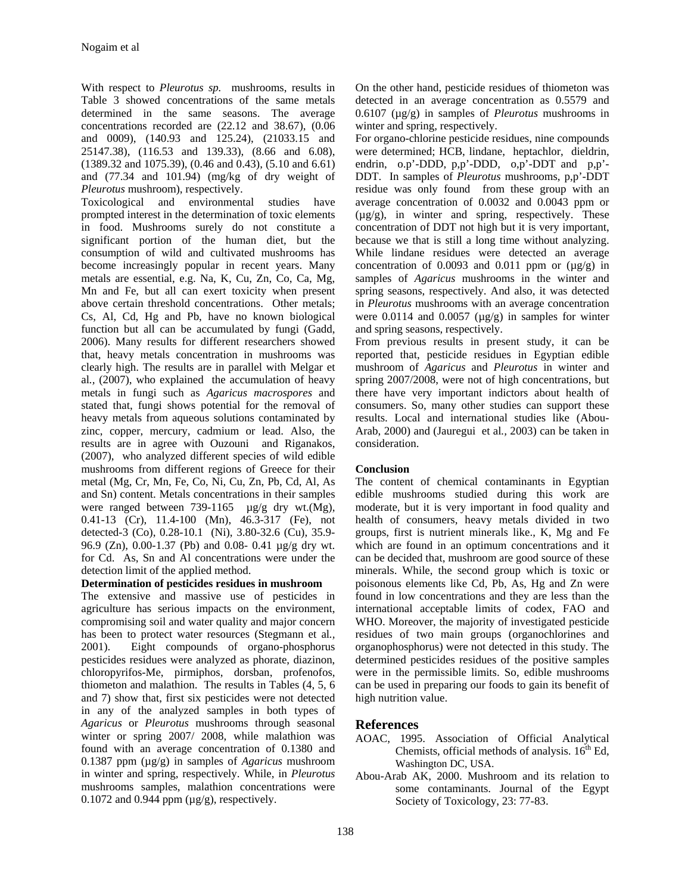With respect to *Pleurotus sp.* mushrooms, results in Table 3 showed concentrations of the same metals determined in the same seasons. The average concentrations recorded are (22.12 and 38.67), (0.06 and 0009), (140.93 and 125.24), (21033.15 and 25147.38), (116.53 and 139.33), (8.66 and 6.08), (1389.32 and 1075.39), (0.46 and 0.43), (5.10 and 6.61) and (77.34 and 101.94) (mg/kg of dry weight of *Pleurotus* mushroom), respectively.

Toxicological and environmental studies have prompted interest in the determination of toxic elements in food. Mushrooms surely do not constitute a significant portion of the human diet, but the consumption of wild and cultivated mushrooms has become increasingly popular in recent years. Many metals are essential, e.g. Na, K, Cu, Zn, Co, Ca, Mg, Mn and Fe, but all can exert toxicity when present above certain threshold concentrations. Other metals; Cs, Al, Cd, Hg and Pb, have no known biological function but all can be accumulated by fungi (Gadd, 2006). Many results for different researchers showed that, heavy metals concentration in mushrooms was clearly high. The results are in parallel with Melgar et al*.,* (2007), who explained the accumulation of heavy metals in fungi such as *Agaricus macrospores* and stated that, fungi shows potential for the removal of heavy metals from aqueous solutions contaminated by zinc, copper, mercury, cadmium or lead. Also, the results are in agree with Ouzouni and Riganakos, (2007), who analyzed different species of wild edible mushrooms from different regions of Greece for their metal (Mg, Cr, Mn, Fe, Co, Ni, Cu, Zn, Pb, Cd, Al, As and Sn) content. Metals concentrations in their samples were ranged between 739-1165 µg/g dry wt.(Mg), 0.41-13 (Cr), 11.4-100 (Mn), 46.3-317 (Fe), not detected-3 (Co), 0.28-10.1 (Ni), 3.80-32.6 (Cu), 35.9- 96.9 (Zn), 0.00-1.37 (Pb) and 0.08- 0.41 µg/g dry wt. for Cd. As, Sn and Al concentrations were under the detection limit of the applied method.

#### **Determination of pesticides residues in mushroom**

The extensive and massive use of pesticides in agriculture has serious impacts on the environment, compromising soil and water quality and major concern has been to protect water resources (Stegmann et al*.,*  2001). Eight compounds of organo-phosphorus pesticides residues were analyzed as phorate, diazinon, chloropyrifos-Me, pirmiphos, dorsban, profenofos, thiometon and malathion. The results in Tables (4, 5, 6 and 7) show that, first six pesticides were not detected in any of the analyzed samples in both types of *Agaricus* or *Pleurotus* mushrooms through seasonal winter or spring 2007/ 2008, while malathion was found with an average concentration of 0.1380 and 0.1387 ppm (µg/g) in samples of *Agaricus* mushroom in winter and spring, respectively. While, in *Pleurotus* mushrooms samples, malathion concentrations were 0.1072 and 0.944 ppm  $(\mu g/g)$ , respectively.

On the other hand, pesticide residues of thiometon was detected in an average concentration as 0.5579 and 0.6107 (µg/g) in samples of *Pleurotus* mushrooms in winter and spring, respectively.

For organo-chlorine pesticide residues, nine compounds were determined; HCB, lindane, heptachlor, dieldrin, endrin, o.p'-DDD, p,p'-DDD, o,p'-DDT and p,p'- DDT. In samples of *Pleurotus* mushrooms, p,p'-DDT residue was only found from these group with an average concentration of 0.0032 and 0.0043 ppm or  $(\mu g/g)$ , in winter and spring, respectively. These concentration of DDT not high but it is very important, because we that is still a long time without analyzing. While lindane residues were detected an average concentration of  $0.0093$  and  $0.011$  ppm or  $(\mu g/g)$  in samples of *Agaricus* mushrooms in the winter and spring seasons, respectively. And also, it was detected in *Pleurotus* mushrooms with an average concentration were  $0.0114$  and  $0.0057$  ( $\mu$ g/g) in samples for winter and spring seasons, respectively.

From previous results in present study, it can be reported that, pesticide residues in Egyptian edible mushroom of *Agaricus* and *Pleurotus* in winter and spring 2007/2008, were not of high concentrations, but there have very important indictors about health of consumers. So, many other studies can support these results. Local and international studies like (Abou-Arab, 2000) and (Jauregui et al*.,* 2003) can be taken in consideration.

## **Conclusion**

The content of chemical contaminants in Egyptian edible mushrooms studied during this work are moderate, but it is very important in food quality and health of consumers, heavy metals divided in two groups, first is nutrient minerals like., K, Mg and Fe which are found in an optimum concentrations and it can be decided that, mushroom are good source of these minerals. While, the second group which is toxic or poisonous elements like Cd, Pb, As, Hg and Zn were found in low concentrations and they are less than the international acceptable limits of codex, FAO and WHO. Moreover, the majority of investigated pesticide residues of two main groups (organochlorines and organophosphorus) were not detected in this study. The determined pesticides residues of the positive samples were in the permissible limits. So, edible mushrooms can be used in preparing our foods to gain its benefit of high nutrition value.

## **References**

- AOAC, 1995. Association of Official Analytical Chemists, official methods of analysis.  $16<sup>th</sup>$  Ed, Washington DC, USA.
- Abou-Arab AK, 2000. Mushroom and its relation to some contaminants. Journal of the Egypt Society of Toxicology, 23: 77-83.